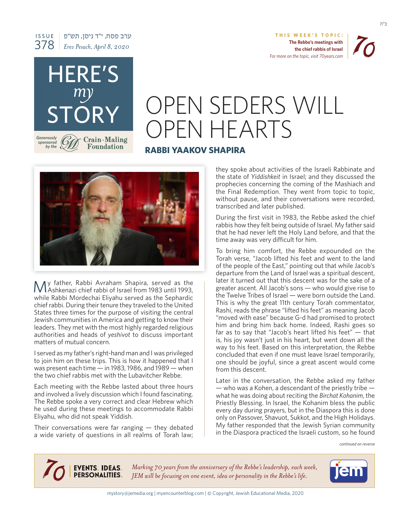



ב"ה

# OPEN SEDERS WILL OPEN HEARTS

## **RABBI YAAKOV SHAPIRA**



HERE'S

ערב פסח, י׳׳ד ניסן, תש״פ *Erev Pesach, April 8, 2020* 

*my*

STORY

**Crain-Maling Foundation** 

*Generously sponsored the by*

ISSUE 378

My father, Rabbi Avraham Shapira, served as the MAshkenazi chief rabbi of Israel from 1983 until 1993, while Rabbi Mordechai Eliyahu served as the Sephardic chief rabbi. During their tenure they traveled to the United States three times for the purpose of visiting the central Jewish communities in America and getting to know their leaders. They met with the most highly regarded religious authorities and heads of yeshivot to discuss important matters of mutual concern.

I served as my father's right-hand man and I was privileged to join him on these trips. This is how it happened that I was present each time  $-$  in 1983, 1986, and 1989  $-$  when the two chief rabbis met with the Lubavitcher Rebbe.

Each meeting with the Rebbe lasted about three hours and involved a lively discussion which I found fascinating. The Rebbe spoke a very correct and clear Hebrew which he used during these meetings to accommodate Rabbi Eliyahu, who did not speak Yiddish.

Their conversations were far ranging  $-$  they debated a wide variety of questions in all realms of Torah law; they spoke about activities of the Israeli Rabbinate and the state of *Yiddishkeit* in *Israel*; and they discussed the prophecies concerning the coming of the Mashiach and the Final Redemption. They went from topic to topic, without pause, and their conversations were recorded, transcribed and later published.

During the first visit in 1983, the Rebbe asked the chief rabbis how they felt being outside of Israel. My father said that he had never left the Holy Land before, and that the time away was very difficult for him.

To bring him comfort, the Rebbe expounded on the Torah verse, "Jacob lifted his feet and went to the land of the people of the East," pointing out that while Jacob's departure from the Land of Israel was a spiritual descent, later it turned out that this descent was for the sake of a greater ascent. All Jacob's sons  $-$  who would give rise to the Twelve Tribes of Israel — were born outside the Land. This is why the great 11th century Torah commentator, Rashi, reads the phrase "lifted his feet" as meaning Jacob "moved with ease" because G-d had promised to protect him and bring him back home. Indeed, Rashi goes so far as to say that "Jacob's heart lifted his feet"  $-$  that is, his joy wasn't just in his heart, but went down all the way to his feet. Based on this interpretation, the Rebbe concluded that even if one must leave Israel temporarily, one should be joyful, since a great ascent would come from this descent.

Later in the conversation, the Rebbe asked my father  $-$  who was a Kohen, a descendant of the priestly tribe  $$ what he was doing about reciting the Birchat Kohanim, the Priestly Blessing. In Israel, the Kohanim bless the public every day during prayers, but in the Diaspora this is done only on Passover, Shavuot, Sukkot, and the High Holidays. My father responded that the Jewish Syrian community in the Diaspora practiced the Israeli custom, so he found

*reverse on continued*

EVENTS. IDEAS.<br>PERSONALITIES. *Marking 70 years from the anniversary of the Rebbe's leadership, each week, JEM* will be focusing on one event, idea or personality in the Rebbe's life.